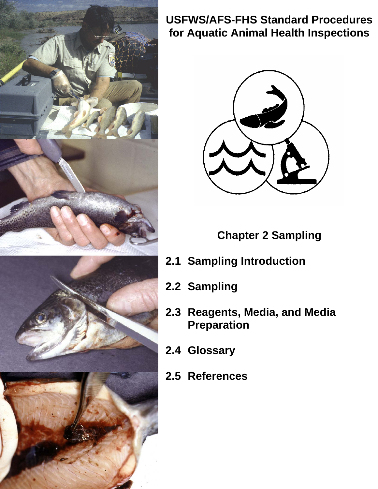



## **USFWS/AFS-FHS Standard Procedures for Aquatic Animal Health Inspections**



**Chapter 2 Sampling** 

- **2.1 Sampling Introduction**
- **2.2 Sampling**
- **2.3 Reagents, Media, and Media Preparation**
- **2.4 Glossary**
- **2.5 References**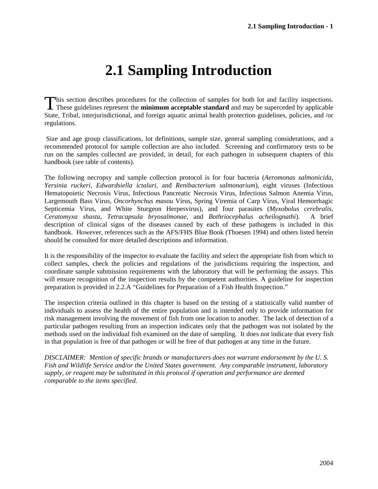## **2.1 Sampling Introduction**

This section describes procedures for the collection of samples for both lot and facility inspections. This section describes procedures for the collection of samples for both lot and facility inspections.<br>These guidelines represent the **minimum acceptable standard** and may be superceded by applicable State, Tribal, interjurisdictional, and foreign aquatic animal health protection guidelines, policies, and /or regulations.

Size and age group classifications, lot definitions, sample size, general sampling considerations, and a recommended protocol for sample collection are also included. Screening and confirmatory tests to be run on the samples collected are provided, in detail, for each pathogen in subsequent chapters of this handbook (see table of contents).

The following necropsy and sample collection protocol is for four bacteria (*Aeromonas salmonicida, Yersinia ruckeri, Edwardsiella ictaluri*, and *Renibacterium salmonarium*), eight viruses (Infectious Hematopoietic Necrosis Virus, Infectious Pancreatic Necrosis Virus, Infectious Salmon Anemia Virus, Largemouth Bass Virus, *Oncorhynchus masou* Virus, Spring Viremia of Carp Virus, Viral Hemorrhagic Septicemia Virus, and White Sturgeon Herpesvirus), and four parasites (*Myxobolus cerebralis, Ceratomyxa shasta, Tetracapsula bryosalmonae,* and *Bothriocephalus acheilognathi*). A brief description of clinical signs of the diseases caused by each of these pathogens is included in this handbook. However, references such as the AFS/FHS Blue Book (Thoesen 1994) and others listed herein should be consulted for more detailed descriptions and information.

It is the responsibility of the inspector to evaluate the facility and select the appropriate fish from which to collect samples, check the policies and regulations of the jurisdictions requiring the inspection, and coordinate sample submission requirements with the laboratory that will be performing the assays. This will ensure recognition of the inspection results by the competent authorities. A guideline for inspection preparation is provided in 2.2.A "Guidelines for Preparation of a Fish Health Inspection."

The inspection criteria outlined in this chapter is based on the testing of a statistically valid number of individuals to assess the health of the entire population and is intended only to provide information for risk management involving the movement of fish from one location to another. The lack of detection of a particular pathogen resulting from an inspection indicates only that the pathogen was not isolated by the methods used on the individual fish examined on the date of sampling. It does not indicate that every fish in that population is free of that pathogen or will be free of that pathogen at any time in the future.

*DISCLAIMER: Mention of specific brands or manufacturers does not warrant endorsement by the U. S. Fish and Wildlife Service and/or the United States government. Any comparable instrument, laboratory supply, or reagent may be substituted in this protocol if operation and performance are deemed comparable to the items specified.*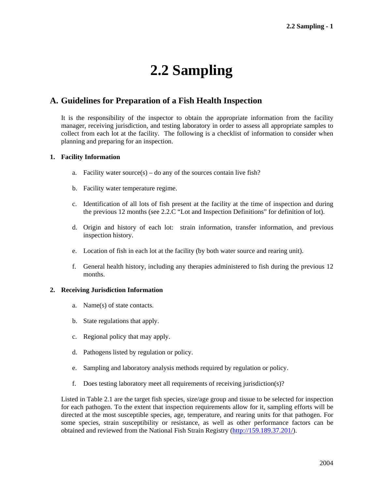# **2.2 Sampling**

## **A. Guidelines for Preparation of a Fish Health Inspection**

It is the responsibility of the inspector to obtain the appropriate information from the facility manager, receiving jurisdiction, and testing laboratory in order to assess all appropriate samples to collect from each lot at the facility. The following is a checklist of information to consider when planning and preparing for an inspection.

### **1. Facility Information**

- a. Facility water source(s) do any of the sources contain live fish?
- b. Facility water temperature regime.
- c. Identification of all lots of fish present at the facility at the time of inspection and during the previous 12 months (see 2.2.C "Lot and Inspection Definitions" for definition of lot).
- d. Origin and history of each lot: strain information, transfer information, and previous inspection history.
- e. Location of fish in each lot at the facility (by both water source and rearing unit).
- f. General health history, including any therapies administered to fish during the previous 12 months.

### **2. Receiving Jurisdiction Information**

- a. Name(s) of state contacts.
- b. State regulations that apply.
- c. Regional policy that may apply.
- d. Pathogens listed by regulation or policy.
- e. Sampling and laboratory analysis methods required by regulation or policy.
- f. Does testing laboratory meet all requirements of receiving jurisdiction(s)?

Listed in Table 2.1 are the target fish species, size/age group and tissue to be selected for inspection for each pathogen. To the extent that inspection requirements allow for it, sampling efforts will be directed at the most susceptible species, age, temperature, and rearing units for that pathogen. For some species, strain susceptibility or resistance, as well as other performance factors can be obtained and reviewed from the National Fish Strain Registry (http://159.189.37.201/).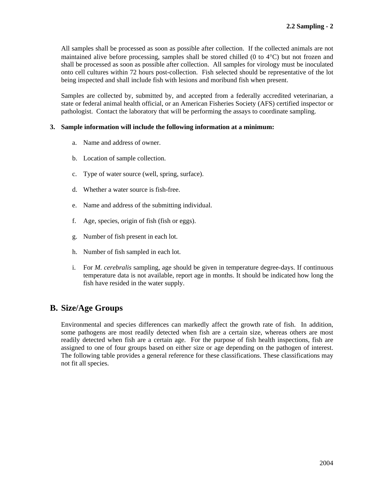All samples shall be processed as soon as possible after collection. If the collected animals are not maintained alive before processing, samples shall be stored chilled (0 to 4°C) but not frozen and shall be processed as soon as possible after collection. All samples for virology must be inoculated onto cell cultures within 72 hours post-collection. Fish selected should be representative of the lot being inspected and shall include fish with lesions and moribund fish when present.

Samples are collected by, submitted by, and accepted from a federally accredited veterinarian, a state or federal animal health official, or an American Fisheries Society (AFS) certified inspector or pathologist. Contact the laboratory that will be performing the assays to coordinate sampling.

#### **3. Sample information will include the following information at a minimum:**

- a. Name and address of owner.
- b. Location of sample collection.
- c. Type of water source (well, spring, surface).
- d. Whether a water source is fish-free.
- e. Name and address of the submitting individual.
- f. Age, species, origin of fish (fish or eggs).
- g. Number of fish present in each lot.
- h. Number of fish sampled in each lot.
- i. For *M. cerebralis* sampling, age should be given in temperature degree-days. If continuous temperature data is not available, report age in months. It should be indicated how long the fish have resided in the water supply.

## **B. Size/Age Groups**

Environmental and species differences can markedly affect the growth rate of fish. In addition, some pathogens are most readily detected when fish are a certain size, whereas others are most readily detected when fish are a certain age. For the purpose of fish health inspections, fish are assigned to one of four groups based on either size or age depending on the pathogen of interest. The following table provides a general reference for these classifications. These classifications may not fit all species.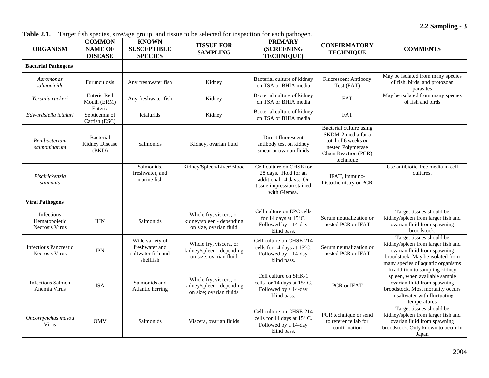**2.2 Sampling - 3** 

**Table 2.1.** Target fish species, size/age group, and tissue to be selected for inspection for each pathogen.

| <b>ORGANISM</b>                                | <b>COMMON</b><br><b>NAME OF</b><br><b>DISEASE</b> | <b>KNOWN</b><br><b>SUSCEPTIBLE</b><br><b>SPECIES</b>                 | <b>TISSUE FOR</b><br><b>SAMPLING</b>                                           | <b>PRIMARY</b><br><b>(SCREENING</b><br><b>TECHNIQUE)</b>                                                                | <b>CONFIRMATORY</b><br><b>TECHNIQUE</b>                                                                                        | <b>COMMENTS</b>                                                                                                                                                                      |
|------------------------------------------------|---------------------------------------------------|----------------------------------------------------------------------|--------------------------------------------------------------------------------|-------------------------------------------------------------------------------------------------------------------------|--------------------------------------------------------------------------------------------------------------------------------|--------------------------------------------------------------------------------------------------------------------------------------------------------------------------------------|
| <b>Bacterial Pathogens</b>                     |                                                   |                                                                      |                                                                                |                                                                                                                         |                                                                                                                                |                                                                                                                                                                                      |
| Aeromonas<br>salmonicida                       | Furunculosis                                      | Any freshwater fish                                                  | Kidney                                                                         | Bacterial culture of kidney<br>on TSA or BHIA media                                                                     | Fluorescent Antibody<br>Test (FAT)                                                                                             | May be isolated from many species<br>of fish, birds, and protozoan<br>parasites                                                                                                      |
| Yersinia ruckeri                               | <b>Enteric Red</b><br>Mouth (ERM)                 | Any freshwater fish                                                  | Kidney                                                                         | Bacterial culture of kidney<br>on TSA or BHIA media                                                                     | FAT                                                                                                                            | May be isolated from many species<br>of fish and birds                                                                                                                               |
| Edwardsiella ictaluri                          | Enteric<br>Septicemia of<br>Catfish (ESC)         | Ictalurids                                                           | Kidney                                                                         | Bacterial culture of kidney<br>on TSA or BHIA media                                                                     | <b>FAT</b>                                                                                                                     |                                                                                                                                                                                      |
| Renibacterium<br>salmoninarum                  | <b>Bacterial</b><br>Kidney Disease<br>(BKD)       | Salmonids                                                            | Kidney, ovarian fluid                                                          | Direct fluorescent<br>antibody test on kidney<br>smear or ovarian fluids                                                | Bacterial culture using<br>SKDM-2 media for a<br>total of 6 weeks or<br>nested Polymerase<br>Chain Reaction (PCR)<br>technique |                                                                                                                                                                                      |
| Piscirickettsia<br>salmonis                    |                                                   | Salmonids,<br>freshwater, and<br>marine fish                         | Kidney/Spleen/Liver/Blood                                                      | Cell culture on CHSE for<br>28 days. Hold for an<br>additional 14 days. Or<br>tissue impression stained<br>with Giemsa. | IFAT, Immuno-<br>histochemistry or PCR                                                                                         | Use antibiotic-free media in cell<br>cultures.                                                                                                                                       |
| <b>Viral Pathogens</b>                         |                                                   |                                                                      |                                                                                |                                                                                                                         |                                                                                                                                |                                                                                                                                                                                      |
| Infectious<br>Hematopoietic<br>Necrosis Virus  | <b>IHN</b>                                        | Salmonids                                                            | Whole fry, viscera, or<br>kidney/spleen - depending<br>on size, ovarian fluid  | Cell culture on EPC cells<br>for 14 days at 15°C.<br>Followed by a 14-day<br>blind pass.                                | Serum neutralization or<br>nested PCR or IFAT                                                                                  | Target tissues should be<br>kidney/spleen from larger fish and<br>ovarian fluid from spawning<br>broodstock.                                                                         |
| <b>Infectious Pancreatic</b><br>Necrosis Virus | <b>IPN</b>                                        | Wide variety of<br>freshwater and<br>saltwater fish and<br>shellfish | Whole fry, viscera, or<br>kidney/spleen - depending<br>on size, ovarian fluid  | Cell culture on CHSE-214<br>cells for 14 days at 15°C.<br>Followed by a 14-day<br>blind pass.                           | Serum neutralization or<br>nested PCR or IFAT                                                                                  | Target tissues should be<br>kidney/spleen from larger fish and<br>ovarian fluid from spawning<br>broodstock. May be isolated from<br>many species of aquatic organisms               |
| <b>Infectious Salmon</b><br>Anemia Virus       | <b>ISA</b>                                        | Salmonids and<br>Atlantic herring                                    | Whole fry, viscera, or<br>kidney/spleen - depending<br>on size; ovarian fluids | Cell culture on SHK-1<br>cells for 14 days at 15° C.<br>Followed by a 14-day<br>blind pass.                             | PCR or IFAT                                                                                                                    | In addition to sampling kidney<br>spleen, when available sample<br>ovarian fluid from spawning<br>broodstock. Most mortality occurs<br>in saltwater with fluctuating<br>temperatures |
| Oncorhynchus masou<br>Virus                    | <b>OMV</b>                                        | Salmonids                                                            | Viscera, ovarian fluids                                                        | Cell culture on CHSE-214<br>cells for 14 days at 15° C.<br>Followed by a 14-day<br>blind pass.                          | PCR technique or send<br>to reference lab for<br>confirmation                                                                  | Target tissues should be<br>kidney/spleen from larger fish and<br>ovarian fluid from spawning<br>broodstock. Only known to occur in<br>Japan                                         |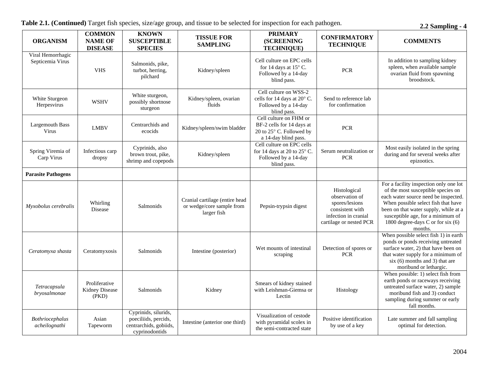| Table 2.1. (Continued) Target fish species, size/age group, and tissue to be selected for inspection for each pathogen. |  |  |  |  |  |
|-------------------------------------------------------------------------------------------------------------------------|--|--|--|--|--|
|-------------------------------------------------------------------------------------------------------------------------|--|--|--|--|--|

**2.2 Sampling - 4** 

| <b>ORGANISM</b>                         | <b>COMMON</b><br><b>NAME OF</b><br><b>DISEASE</b> | <b>KNOWN</b><br><b>SUSCEPTIBLE</b><br><b>SPECIES</b>                                     | <b>TISSUE FOR</b><br><b>SAMPLING</b>                                       | <b>PRIMARY</b><br><b>(SCREENING</b><br><b>TECHNIQUE)</b>                                                           | <b>CONFIRMATORY</b><br><b>TECHNIQUE</b>                                                                                | <b>COMMENTS</b>                                                                                                                                                                                                                                                                           |
|-----------------------------------------|---------------------------------------------------|------------------------------------------------------------------------------------------|----------------------------------------------------------------------------|--------------------------------------------------------------------------------------------------------------------|------------------------------------------------------------------------------------------------------------------------|-------------------------------------------------------------------------------------------------------------------------------------------------------------------------------------------------------------------------------------------------------------------------------------------|
| Viral Hemorrhagic<br>Septicemia Virus   | <b>VHS</b>                                        | Salmonids, pike,<br>turbot, herring,<br>pilchard                                         | Kidney/spleen                                                              | Cell culture on EPC cells<br>for 14 days at 15° C.<br>Followed by a 14-day<br>blind pass.                          | <b>PCR</b>                                                                                                             | In addition to sampling kidney<br>spleen, when available sample<br>ovarian fluid from spawning<br>broodstock.                                                                                                                                                                             |
| White Sturgeon<br>Herpesvirus           | <b>WSHV</b>                                       | White sturgeon,<br>possibly shortnose<br>sturgeon                                        | Kidney/spleen, ovarian<br>fluids                                           | Cell culture on WSS-2<br>cells for 14 days at 20° C.<br>Followed by a 14-day<br>blind pass.                        | Send to reference lab<br>for confirmation                                                                              |                                                                                                                                                                                                                                                                                           |
| <b>Largemouth Bass</b><br>Virus         | <b>LMBV</b>                                       | Centrarchids and<br>ecocids                                                              | Kidney/spleen/swim bladder                                                 | Cell culture on FHM or<br>BF-2 cells for 14 days at<br>$20$ to $25^{\circ}$ C. Followed by<br>a 14-day blind pass. | <b>PCR</b>                                                                                                             |                                                                                                                                                                                                                                                                                           |
| Spring Viremia of<br>Carp Virus         | Infectious carp<br>dropsy                         | Cyprinids, also<br>brown trout, pike,<br>shrimp and copepods                             | Kidney/spleen                                                              | Cell culture on EPC cells<br>for 14 days at 20 to $25^{\circ}$ C.<br>Followed by a 14-day<br>blind pass.           | Serum neutralization or<br><b>PCR</b>                                                                                  | Most easily isolated in the spring<br>during and for several weeks after<br>epizootics.                                                                                                                                                                                                   |
| <b>Parasite Pathogens</b>               |                                                   |                                                                                          |                                                                            |                                                                                                                    |                                                                                                                        |                                                                                                                                                                                                                                                                                           |
| Myxobolus cerebralis                    | Whirling<br>Disease                               | Salmonids                                                                                | Cranial cartilage (entire head<br>or wedge/core sample from<br>larger fish | Pepsin-trypsin digest                                                                                              | Histological<br>observation of<br>spores/lesions<br>consistent with<br>infection in cranial<br>cartilage or nested PCR | For a facility inspection only one lot<br>of the most susceptible species on<br>each water source need be inspected.<br>When possible select fish that have<br>been on that water supply, while at a<br>susceptible age, for a minimum of<br>1800 degree-days C or for six (6)<br>months. |
| Ceratomyxa shasta                       | Ceratomyxosis                                     | Salmonids                                                                                | Intestine (posterior)                                                      | Wet mounts of intestinal<br>scraping                                                                               | Detection of spores or<br><b>PCR</b>                                                                                   | When possible select fish 1) in earth<br>ponds or ponds receiving untreated<br>surface water, 2) that have been on<br>that water supply for a minimum of<br>$six(6)$ months and 3) that are<br>moribund or lethargic.                                                                     |
| Tetracapsula<br>bryosalmonae            | Proliferative<br>Kidney Disease<br>(PKD)          | Salmonids                                                                                | Kidney                                                                     | Smears of kidney stained<br>with Leishman-Giemsa or<br>Lectin                                                      | Histology                                                                                                              | When possible: 1) select fish from<br>earth ponds or raceways receiving<br>untreated surface water, 2) sample<br>moribund fish and 3) conduct<br>sampling during summer or early<br>fall months.                                                                                          |
| <b>Bothriocephalus</b><br>acheilognathi | Asian<br>Tapeworm                                 | Cyprinids, silurids,<br>poeciliids, percids,<br>centrarchids, gobiids,<br>cyprinodontids | Intestine (anterior one third)                                             | Visualization of cestode<br>with pyramidal scolex in<br>the semi-contracted state                                  | Positive identification<br>by use of a key                                                                             | Late summer and fall sampling<br>optimal for detection.                                                                                                                                                                                                                                   |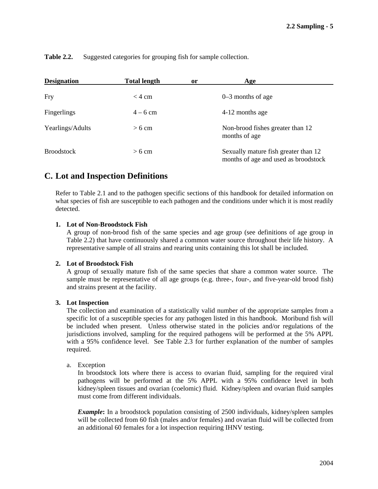| <b>Designation</b> | <b>Total length</b> | <sub>or</sub> | Age                                                                          |
|--------------------|---------------------|---------------|------------------------------------------------------------------------------|
| Fry                | $<$ 4 cm            |               | $0-3$ months of age                                                          |
| Fingerlings        | $4-6$ cm            |               | 4-12 months age                                                              |
| Yearlings/Adults   | $>6$ cm             |               | Non-brood fishes greater than 12<br>months of age                            |
| <b>Broodstock</b>  | $>6$ cm             |               | Sexually mature fish greater than 12<br>months of age and used as broodstock |

**Table 2.2.** Suggested categories for grouping fish for sample collection.

## **C. Lot and Inspection Definitions**

Refer to Table 2.1 and to the pathogen specific sections of this handbook for detailed information on what species of fish are susceptible to each pathogen and the conditions under which it is most readily detected.

### **1. Lot of Non-Broodstock Fish**

A group of non-brood fish of the same species and age group (see definitions of age group in Table 2.2) that have continuously shared a common water source throughout their life history. A representative sample of all strains and rearing units containing this lot shall be included.

### **2. Lot of Broodstock Fish**

A group of sexually mature fish of the same species that share a common water source. The sample must be representative of all age groups (e.g. three-, four-, and five-year-old brood fish) and strains present at the facility.

### **3. Lot Inspection**

The collection and examination of a statistically valid number of the appropriate samples from a specific lot of a susceptible species for any pathogen listed in this handbook. Moribund fish will be included when present. Unless otherwise stated in the policies and/or regulations of the jurisdictions involved, sampling for the required pathogens will be performed at the 5% APPL with a 95% confidence level. See Table 2.3 for further explanation of the number of samples required.

### a. Exception

In broodstock lots where there is access to ovarian fluid, sampling for the required viral pathogens will be performed at the 5% APPL with a 95% confidence level in both kidney/spleen tissues and ovarian (coelomic) fluid. Kidney/spleen and ovarian fluid samples must come from different individuals.

*Example***:** In a broodstock population consisting of 2500 individuals, kidney/spleen samples will be collected from 60 fish (males and/or females) and ovarian fluid will be collected from an additional 60 females for a lot inspection requiring IHNV testing.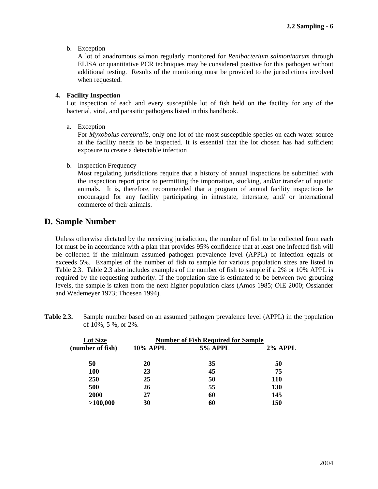b. Exception

A lot of anadromous salmon regularly monitored for *Renibacterium salmoninarum* through ELISA or quantitative PCR techniques may be considered positive for this pathogen without additional testing. Results of the monitoring must be provided to the jurisdictions involved when requested.

### **4. Facility Inspection**

Lot inspection of each and every susceptible lot of fish held on the facility for any of the bacterial, viral, and parasitic pathogens listed in this handbook.

a. Exception

For *Myxobolus cerebralis*, only one lot of the most susceptible species on each water source at the facility needs to be inspected. It is essential that the lot chosen has had sufficient exposure to create a detectable infection

b. Inspection Frequency

Most regulating jurisdictions require that a history of annual inspections be submitted with the inspection report prior to permitting the importation, stocking, and/or transfer of aquatic animals. It is, therefore, recommended that a program of annual facility inspections be encouraged for any facility participating in intrastate, interstate, and/ or international commerce of their animals.

## **D. Sample Number**

Unless otherwise dictated by the receiving jurisdiction, the number of fish to be collected from each lot must be in accordance with a plan that provides 95% confidence that at least one infected fish will be collected if the minimum assumed pathogen prevalence level (APPL) of infection equals or exceeds 5%. Examples of the number of fish to sample for various population sizes are listed in Table 2.3. Table 2.3 also includes examples of the number of fish to sample if a 2% or 10% APPL is required by the requesting authority. If the population size is estimated to be between two grouping levels, the sample is taken from the next higher population class (Amos 1985; OIE 2000; Ossiander and Wedemeyer 1973; Thoesen 1994).

**Table 2.3.** Sample number based on an assumed pathogen prevalence level (APPL) in the population of 10%, 5 %, or 2%.

| Lot Size         | <b>Number of Fish Required for Sample</b> |                |            |
|------------------|-------------------------------------------|----------------|------------|
| (number of fish) | <b>10% APPL</b>                           | <b>5% APPL</b> | $2\%$ APPL |
| 50               | 20                                        | 35             | 50         |
| 100              | 23                                        | 45             | 75         |
| <b>250</b>       | 25                                        | 50             | <b>110</b> |
| 500              | 26                                        | 55             | 130        |
| 2000             | 27                                        | 60             | 145        |
| >100,000         | 30                                        | 60             | 150        |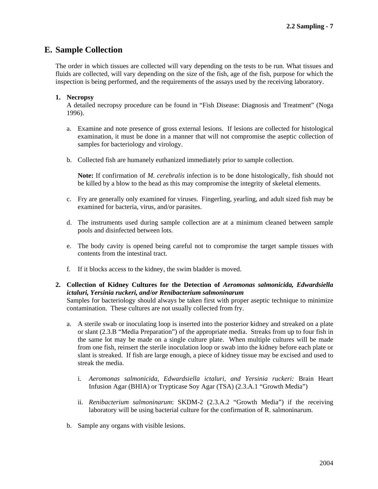## **E. Sample Collection**

The order in which tissues are collected will vary depending on the tests to be run. What tissues and fluids are collected, will vary depending on the size of the fish, age of the fish, purpose for which the inspection is being performed, and the requirements of the assays used by the receiving laboratory.

## **1. Necropsy**

A detailed necropsy procedure can be found in "Fish Disease: Diagnosis and Treatment" (Noga 1996).

- a. Examine and note presence of gross external lesions. If lesions are collected for histological examination, it must be done in a manner that will not compromise the aseptic collection of samples for bacteriology and virology.
- b. Collected fish are humanely euthanized immediately prior to sample collection.

**Note:** If confirmation of *M. cerebralis* infection is to be done histologically, fish should not be killed by a blow to the head as this may compromise the integrity of skeletal elements.

- c. Fry are generally only examined for viruses. Fingerling, yearling, and adult sized fish may be examined for bacteria, virus, and/or parasites.
- d. The instruments used during sample collection are at a minimum cleaned between sample pools and disinfected between lots.
- e. The body cavity is opened being careful not to compromise the target sample tissues with contents from the intestinal tract.
- f. If it blocks access to the kidney, the swim bladder is moved.
- **2. Collection of Kidney Cultures for the Detection of** *Aeromonas salmonicida, Edwardsiella ictaluri, Yersinia ruckeri, and/or Renibacterium salmoninarum*

Samples for bacteriology should always be taken first with proper aseptic technique to minimize contamination.These cultures are not usually collected from fry.

- a. A sterile swab or inoculating loop is inserted into the posterior kidney and streaked on a plate or slant (2.3.B "Media Preparation") of the appropriate media. Streaks from up to four fish in the same lot may be made on a single culture plate. When multiple cultures will be made from one fish, reinsert the sterile inoculation loop or swab into the kidney before each plate or slant is streaked. If fish are large enough, a piece of kidney tissue may be excised and used to streak the media.
	- i. *Aeromonas salmonicida, Edwardsiella ictaluri, and Yersinia ruckeri:* Brain Heart Infusion Agar (BHIA) or Trypticase Soy Agar (TSA) (2.3.A.1 "Growth Media")
	- ii. *Renibacterium salmoninarum*: SKDM-2 (2.3.A.2 "Growth Media") if the receiving laboratory will be using bacterial culture for the confirmation of R. salmoninarum.
- b. Sample any organs with visible lesions.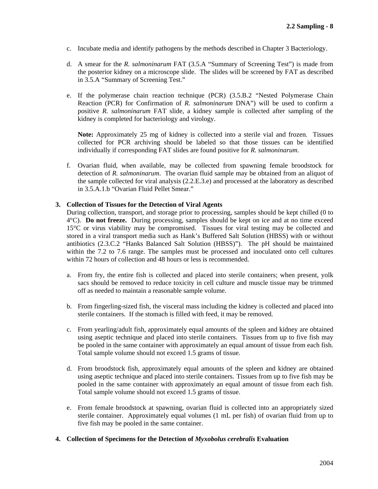- c. Incubate media and identify pathogens by the methods described in Chapter 3 Bacteriology.
- d. A smear for the *R. salmoninarum* FAT (3.5.A "Summary of Screening Test") is made from the posterior kidney on a microscope slide. The slides will be screened by FAT as described in 3.5.A "Summary of Screening Test."
- e. If the polymerase chain reaction technique (PCR) (3.5.B.2 "Nested Polymerase Chain Reaction (PCR) for Confirmation of *R. salmoninarum* DNA") will be used to confirm a positive *R. salmoninarum* FAT slide, a kidney sample is collected after sampling of the kidney is completed for bacteriology and virology.

**Note:** Approximately 25 mg of kidney is collected into a sterile vial and frozen. Tissues collected for PCR archiving should be labeled so that those tissues can be identified individually if corresponding FAT slides are found positive for *R. salmoninarum*.

f. Ovarian fluid, when available, may be collected from spawning female broodstock for detection of *R. salmoninarum*. The ovarian fluid sample may be obtained from an aliquot of the sample collected for viral analysis (2.2.E.3.e) and processed at the laboratory as described in 3.5.A.1.b "Ovarian Fluid Pellet Smear."

## **3. Collection of Tissues for the Detection of Viral Agents**

During collection, transport, and storage prior to processing, samples should be kept chilled (0 to 4°C). **Do not freeze.** During processing, samples should be kept on ice and at no time exceed 15°C or virus viability may be compromised.Tissues for viral testing may be collected and stored in a viral transport media such as Hank's Buffered Salt Solution (HBSS) with or without antibiotics (2.3.C.2 "Hanks Balanced Salt Solution (HBSS)"). The pH should be maintained within the 7.2 to 7.6 range. The samples must be processed and inoculated onto cell cultures within 72 hours of collection and 48 hours or less is recommended.

- a. From fry, the entire fish is collected and placed into sterile containers; when present, yolk sacs should be removed to reduce toxicity in cell culture and muscle tissue may be trimmed off as needed to maintain a reasonable sample volume.
- b. From fingerling-sized fish, the visceral mass including the kidney is collected and placed into sterile containers. If the stomach is filled with feed, it may be removed.
- c. From yearling/adult fish, approximately equal amounts of the spleen and kidney are obtained using aseptic technique and placed into sterile containers. Tissues from up to five fish may be pooled in the same container with approximately an equal amount of tissue from each fish. Total sample volume should not exceed 1.5 grams of tissue.
- d. From broodstock fish, approximately equal amounts of the spleen and kidney are obtained using aseptic technique and placed into sterile containers. Tissues from up to five fish may be pooled in the same container with approximately an equal amount of tissue from each fish. Total sample volume should not exceed 1.5 grams of tissue.
- e. From female broodstock at spawning, ovarian fluid is collected into an appropriately sized sterile container. Approximately equal volumes (1 mL per fish) of ovarian fluid from up to five fish may be pooled in the same container.
- **4. Collection of Specimens for the Detection of** *Myxobolus cerebralis* **Evaluation**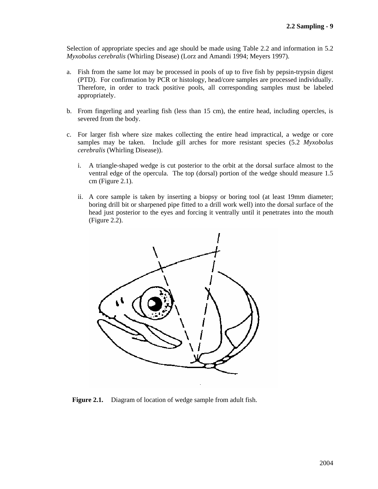Selection of appropriate species and age should be made using Table 2.2 and information in 5.2 *Myxobolus cerebralis* (Whirling Disease) (Lorz and Amandi 1994; Meyers 1997).

- a. Fish from the same lot may be processed in pools of up to five fish by pepsin-trypsin digest (PTD). For confirmation by PCR or histology, head/core samples are processed individually. Therefore, in order to track positive pools, all corresponding samples must be labeled appropriately.
- b. From fingerling and yearling fish (less than 15 cm), the entire head, including opercles, is severed from the body.
- c. For larger fish where size makes collecting the entire head impractical, a wedge or core samples may be taken. Include gill arches for more resistant species (5.2 *Myxobolus cerebralis* (Whirling Disease)).
	- i. A triangle-shaped wedge is cut posterior to the orbit at the dorsal surface almost to the ventral edge of the opercula. The top (dorsal) portion of the wedge should measure 1.5 cm (Figure 2.1).
	- ii. A core sample is taken by inserting a biopsy or boring tool (at least 19mm diameter; boring drill bit or sharpened pipe fitted to a drill work well) into the dorsal surface of the head just posterior to the eyes and forcing it ventrally until it penetrates into the mouth (Figure 2.2).



**Figure 2.1.** Diagram of location of wedge sample from adult fish.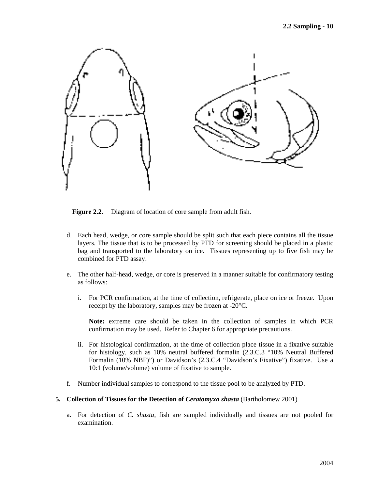

**Figure 2.2.** Diagram of location of core sample from adult fish.

- d. Each head, wedge, or core sample should be split such that each piece contains all the tissue layers. The tissue that is to be processed by PTD for screening should be placed in a plastic bag and transported to the laboratory on ice. Tissues representing up to five fish may be combined for PTD assay.
- e. The other half-head, wedge, or core is preserved in a manner suitable for confirmatory testing as follows:
	- i. For PCR confirmation, at the time of collection, refrigerate, place on ice or freeze. Upon receipt by the laboratory, samples may be frozen at -20°C.

**Note:** extreme care should be taken in the collection of samples in which PCR confirmation may be used. Refer to Chapter 6 for appropriate precautions.

- ii. For histological confirmation, at the time of collection place tissue in a fixative suitable for histology, such as 10% neutral buffered formalin (2.3.C.3 "10% Neutral Buffered Formalin (10% NBF)") or Davidson's (2.3.C.4 "Davidson's Fixative") fixative. Use a 10:1 (volume/volume) volume of fixative to sample.
- f. Number individual samples to correspond to the tissue pool to be analyzed by PTD.
- **5. Collection of Tissues for the Detection of** *Ceratomyxa shasta* **(Bartholomew 2001)** 
	- a. For detection of *C. shasta,* fish are sampled individually and tissues are not pooled for examination.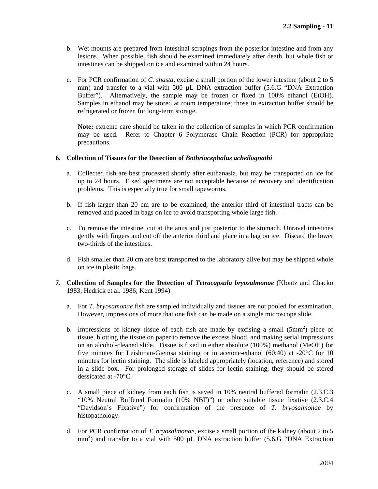- b. Wet mounts are prepared from intestinal scrapings from the posterior intestine and from any lesions. When possible, fish should be examined immediately after death, but whole fish or intestines can be shipped on ice and examined within 24 hours.
- c. For PCR confirmation of *C. shasta*, excise a small portion of the lower intestine (about 2 to 5 mm) and transfer to a vial with 500 µL DNA extraction buffer (5.6.G "DNA Extraction Buffer"). Alternatively, the sample may be frozen or fixed in 100% ethanol (EtOH). Samples in ethanol may be stored at room temperature; those in extraction buffer should be refrigerated or frozen for long-term storage.

**Note:** extreme care should be taken in the collection of samples in which PCR confirmation may be used. Refer to Chapter 6 Polymerase Chain Reaction (PCR) for appropriate precautions.

### **6. Collection of Tissues for the Detection of** *Bothriocephalus acheilognathi*

- a. Collected fish are best processed shortly after euthanasia, but may be transported on ice for up to 24 hours. Fixed specimens are not acceptable because of recovery and identification problems. This is especially true for small tapeworms.
- b. If fish larger than 20 cm are to be examined, the anterior third of intestinal tracts can be removed and placed in bags on ice to avoid transporting whole large fish.
- c. To remove the intestine, cut at the anus and just posterior to the stomach. Unravel intestines gently with fingers and cut off the anterior third and place in a bag on ice. Discard the lower two-thirds of the intestines.
- d. Fish smaller than 20 cm are best transported to the laboratory alive but may be shipped whole on ice in plastic bags.
- **7. Collection of Samples for the Detection of** *Tetracapsula bryosalmonae* (Klontz and Chacko 1983; Hedrick et al. 1986; Kent 1994)
	- a. For *T. bryosamonae* fish are sampled individually and tissues are not pooled for examination. However, impressions of more that one fish can be made on a single microscope slide.
	- b. Impressions of kidney tissue of each fish are made by excising a small  $(5mm^2)$  piece of tissue, blotting the tissue on paper to remove the excess blood, and making serial impressions on an alcohol-cleaned slide. Tissue is fixed in either absolute (100%) methanol (MeOH) for five minutes for Leishman-Giemsa staining or in acetone-ethanol (60:40) at -20°C for 10 minutes for lectin staining. The slide is labeled appropriately (location, reference) and stored in a slide box. For prolonged storage of slides for lectin staining, they should be stored dessicated at -70°C.
	- c. A small piece of kidney from each fish is saved in 10% neutral buffered formalin (2.3.C.3 "10% Neutral Buffered Formalin (10% NBF)") or other suitable tissue fixative (2.3.C.4 "Davidson's Fixative") for confirmation of the presence of *T. bryosalmonae* by histopathology.
	- d. For PCR confirmation of *T. bryosalmonae*, excise a small portion of the kidney (about 2 to 5 mm<sup>2</sup>) and transfer to a vial with 500 µL DNA extraction buffer (5.6.G "DNA Extraction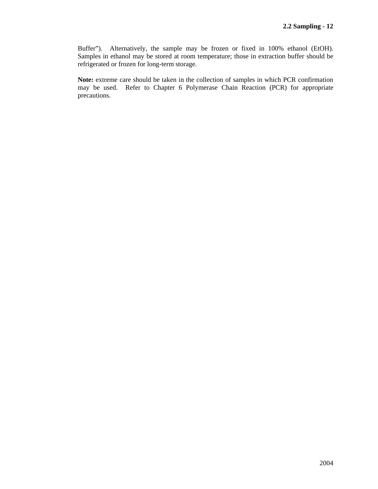Buffer"). Alternatively, the sample may be frozen or fixed in 100% ethanol (EtOH). Samples in ethanol may be stored at room temperature; those in extraction buffer should be refrigerated or frozen for long-term storage.

**Note:** extreme care should be taken in the collection of samples in which PCR confirmation may be used. Refer to Chapter 6 Polymerase Chain Reaction (PCR) for appropriate precautions.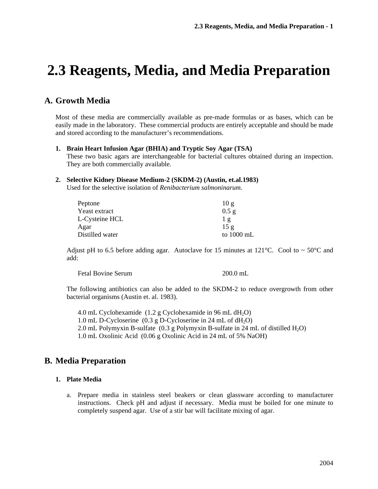# **2.3 Reagents, Media, and Media Preparation**

## **A. Growth Media**

Most of these media are commercially available as pre-made formulas or as bases, which can be easily made in the laboratory. These commercial products are entirely acceptable and should be made and stored according to the manufacturer's recommendations.

#### **1. Brain Heart Infusion Agar (BHIA) and Tryptic Soy Agar (TSA)**

These two basic agars are interchangeable for bacterial cultures obtained during an inspection. They are both commercially available.

### **2. Selective Kidney Disease Medium-2 (SKDM-2) (Austin, et.al.1983)**

Used for the selective isolation of *Renibacterium salmoninarum.*

| Peptone         | 10g        |
|-----------------|------------|
| Yeast extract   | $0.5$ g    |
| L-Cysteine HCL  | $1\sigma$  |
| Agar            | 15g        |
| Distilled water | to 1000 mL |

Adjust pH to 6.5 before adding agar. Autoclave for 15 minutes at 121 $^{\circ}$ C. Cool to  $\sim$  50 $^{\circ}$ C and add:

| <b>Fetal Bovine Serum</b> | $200.0$ mL |
|---------------------------|------------|
|---------------------------|------------|

The following antibiotics can also be added to the SKDM-2 to reduce overgrowth from other bacterial organisms (Austin et. al. 1983).

4.0 mL Cyclohexamide  $(1.2 \text{ g}$  Cyclohexamide in 96 mL dH<sub>2</sub>O) 1.0 mL D-Cycloserine  $(0.3 \text{ g}$  D-Cycloserine in 24 mL of  $dH_2O$ ) 2.0 mL Polymyxin B-sulfate  $(0.3 \text{ g Polym}$ yxin B-sulfate in 24 mL of distilled  $H_2O$ ) 1.0 mL Oxolinic Acid (0.06 g Oxolinic Acid in 24 mL of 5% NaOH)

## **B. Media Preparation**

#### **1. Plate Media**

a. Prepare media in stainless steel beakers or clean glassware according to manufacturer instructions. Check pH and adjust if necessary. Media must be boiled for one minute to completely suspend agar. Use of a stir bar will facilitate mixing of agar.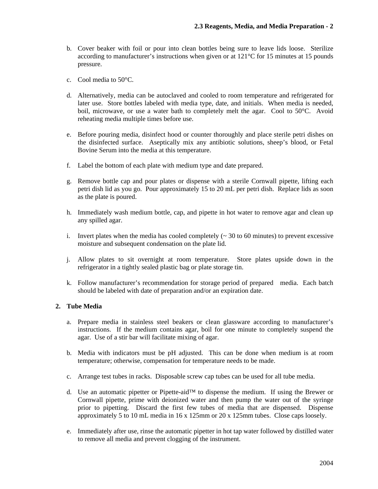- b. Cover beaker with foil or pour into clean bottles being sure to leave lids loose. Sterilize according to manufacturer's instructions when given or at 121°C for 15 minutes at 15 pounds pressure.
- c. Cool media to 50°C.
- d. Alternatively, media can be autoclaved and cooled to room temperature and refrigerated for later use. Store bottles labeled with media type, date, and initials. When media is needed, boil, microwave, or use a water bath to completely melt the agar. Cool to 50°C. Avoid reheating media multiple times before use.
- e. Before pouring media, disinfect hood or counter thoroughly and place sterile petri dishes on the disinfected surface. Aseptically mix any antibiotic solutions, sheep's blood, or Fetal Bovine Serum into the media at this temperature.
- f. Label the bottom of each plate with medium type and date prepared.
- g. Remove bottle cap and pour plates or dispense with a sterile Cornwall pipette, lifting each petri dish lid as you go. Pour approximately 15 to 20 mL per petri dish. Replace lids as soon as the plate is poured.
- h. Immediately wash medium bottle, cap, and pipette in hot water to remove agar and clean up any spilled agar.
- i. Invert plates when the media has cooled completely  $\left(\sim 30 \text{ to } 60 \text{ minutes}\right)$  to prevent excessive moisture and subsequent condensation on the plate lid.
- j. Allow plates to sit overnight at room temperature. Store plates upside down in the refrigerator in a tightly sealed plastic bag or plate storage tin.
- k. Follow manufacturer's recommendation for storage period of prepared media. Each batch should be labeled with date of preparation and/or an expiration date.

## **2. Tube Media**

- a. Prepare media in stainless steel beakers or clean glassware according to manufacturer's instructions. If the medium contains agar, boil for one minute to completely suspend the agar. Use of a stir bar will facilitate mixing of agar.
- b. Media with indicators must be pH adjusted. This can be done when medium is at room temperature; otherwise, compensation for temperature needs to be made.
- c. Arrange test tubes in racks. Disposable screw cap tubes can be used for all tube media.
- d. Use an automatic pipetter or Pipette-aid™ to dispense the medium. If using the Brewer or Cornwall pipette, prime with deionized water and then pump the water out of the syringe prior to pipetting. Discard the first few tubes of media that are dispensed. Dispense approximately 5 to 10 mL media in 16 x 125mm or 20 x 125mm tubes. Close caps loosely.
- e. Immediately after use, rinse the automatic pipetter in hot tap water followed by distilled water to remove all media and prevent clogging of the instrument.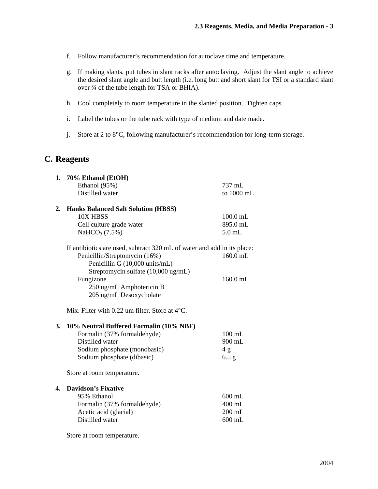- f. Follow manufacturer's recommendation for autoclave time and temperature.
- g. If making slants, put tubes in slant racks after autoclaving. Adjust the slant angle to achieve the desired slant angle and butt length (i.e. long butt and short slant for TSI or a standard slant over ¾ of the tube length for TSA or BHIA).
- h. Cool completely to room temperature in the slanted position. Tighten caps.
- i. Label the tubes or the tube rack with type of medium and date made.
- j. Store at 2 to 8°C, following manufacturer's recommendation for long-term storage.

## **C. Reagents**

| 1. | 70% Ethanol (EtOH)                                                      |            |
|----|-------------------------------------------------------------------------|------------|
|    | Ethanol (95%)                                                           | 737 mL     |
|    | Distilled water                                                         | to 1000 mL |
| 2. | <b>Hanks Balanced Salt Solution (HBSS)</b>                              |            |
|    | 10X HBSS                                                                | $100.0$ mL |
|    | Cell culture grade water                                                | 895.0 mL   |
|    | NaHCO <sub>3</sub> $(7.5%)$                                             | $5.0$ mL   |
|    | If antibiotics are used, subtract 320 mL of water and add in its place: |            |
|    | Penicillin/Streptomycin (16%)                                           | $160.0$ mL |
|    | Penicillin G (10,000 units/mL)                                          |            |
|    | Streptomycin sulfate (10,000 ug/mL)                                     |            |
|    | Fungizone                                                               | $160.0$ mL |
|    | 250 ug/mL Amphotericin B                                                |            |
|    | 205 ug/mL Desoxycholate                                                 |            |
|    | Mix. Filter with $0.22$ um filter. Store at $4^{\circ}$ C.              |            |
| 3. | 10% Neutral Buffered Formalin (10% NBF)                                 |            |
|    | Formalin (37% formaldehyde)                                             | $100$ mL   |
|    | Distilled water                                                         | 900 mL     |
|    | Sodium phosphate (monobasic)                                            | 4g         |
|    | Sodium phosphate (dibasic)                                              | 6.5 g      |
|    | Store at room temperature.                                              |            |
| 4. | <b>Davidson's Fixative</b>                                              |            |
|    | 95% Ethanol                                                             | $600$ mL   |
|    | Formalin (37% formaldehyde)                                             | 400 mL     |
|    | Acetic acid (glacial)                                                   | $200$ mL   |
|    | Distilled water                                                         | $600$ mL   |
|    | Store at room temperature.                                              |            |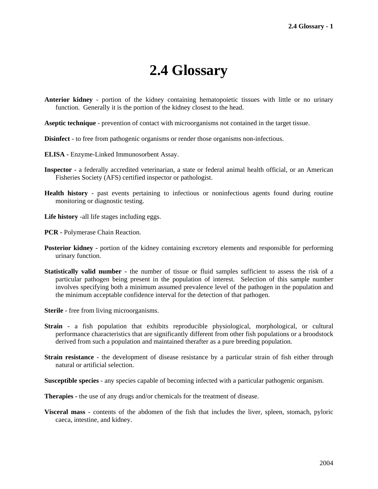## **2.4 Glossary**

- **Anterior kidney** portion of the kidney containing hematopoietic tissues with little or no urinary function. Generally it is the portion of the kidney closest to the head.
- **Aseptic technique** prevention of contact with microorganisms not contained in the target tissue.
- **Disinfect** to free from pathogenic organisms or render those organisms non-infectious.
- **ELISA** Enzyme-Linked Immunosorbent Assay.
- **Inspector** a federally accredited veterinarian, a state or federal animal health official, or an American Fisheries Society (AFS) certified inspector or pathologist.
- **Health history** past events pertaining to infectious or noninfectious agents found during routine monitoring or diagnostic testing.
- **Life history** -all life stages including eggs.
- **PCR** Polymerase Chain Reaction.
- **Posterior kidney** portion of the kidney containing excretory elements and responsible for performing urinary function.
- **Statistically valid number** the number of tissue or fluid samples sufficient to assess the risk of a particular pathogen being present in the population of interest. Selection of this sample number involves specifying both a minimum assumed prevalence level of the pathogen in the population and the minimum acceptable confidence interval for the detection of that pathogen.
- **Sterile** free from living microorganisms.
- **Strain**  a fish population that exhibits reproducible physiological, morphological, or cultural performance characteristics that are significantly different from other fish populations or a broodstock derived from such a population and maintained therafter as a pure breeding population.
- **Strain resistance** the development of disease resistance by a particular strain of fish either through natural or artificial selection.
- **Susceptible species** any species capable of becoming infected with a particular pathogenic organism.

**Therapies -** the use of any drugs and/or chemicals for the treatment of disease.

**Visceral mass** - contents of the abdomen of the fish that includes the liver, spleen, stomach, pyloric caeca, intestine, and kidney.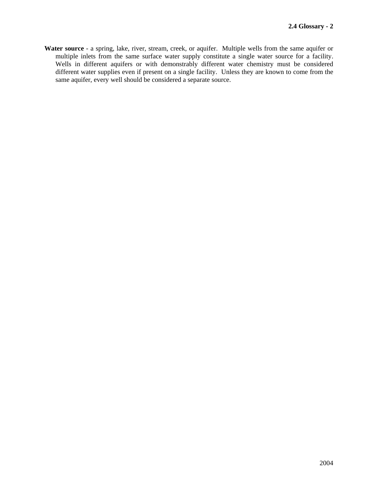**Water source** - a spring, lake, river, stream, creek, or aquifer. Multiple wells from the same aquifer or multiple inlets from the same surface water supply constitute a single water source for a facility. Wells in different aquifers or with demonstrably different water chemistry must be considered different water supplies even if present on a single facility. Unless they are known to come from the same aquifer, every well should be considered a separate source.